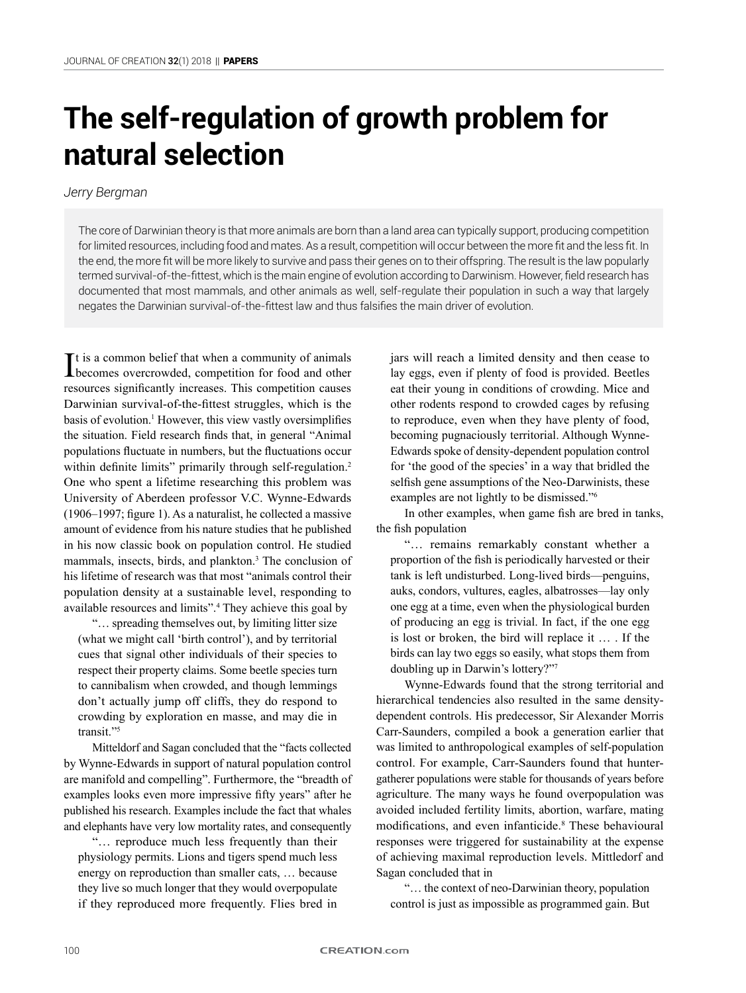# **The self-regulation of growth problem for natural selection**

## *Jerry Bergman*

The core of Darwinian theory is that more animals are born than a land area can typically support, producing competition for limited resources, including food and mates. As a result, competition will occur between the more fit and the less fit. In the end, the more fit will be more likely to survive and pass their genes on to their offspring. The result is the law popularly termed survival-of-the-fittest, which is the main engine of evolution according to Darwinism. However, field research has documented that most mammals, and other animals as well, self-regulate their population in such a way that largely negates the Darwinian survival-of-the-fittest law and thus falsifies the main driver of evolution.

It is a common belief that when a community of animals<br>becomes overcrowded, competition for food and other  $\mathbf{T}$ t is a common belief that when a community of animals resources significantly increases. This competition causes Darwinian survival-of-the-fittest struggles, which is the basis of evolution.<sup>1</sup> However, this view vastly oversimplifies the situation. Field research finds that, in general "Animal populations fluctuate in numbers, but the fluctuations occur within definite limits" primarily through self-regulation.<sup>2</sup> One who spent a lifetime researching this problem was University of Aberdeen professor V.C. Wynne-Edwards (1906–1997; figure 1). As a naturalist, he collected a massive amount of evidence from his nature studies that he published in his now classic book on population control. He studied mammals, insects, birds, and plankton.<sup>3</sup> The conclusion of his lifetime of research was that most "animals control their population density at a sustainable level, responding to available resources and limits".<sup>4</sup> They achieve this goal by

"… spreading themselves out, by limiting litter size (what we might call 'birth control'), and by territorial cues that signal other individuals of their species to respect their property claims. Some beetle species turn to cannibalism when crowded, and though lemmings don't actually jump off cliffs, they do respond to crowding by exploration en masse, and may die in transit."<sup>5</sup>

Mitteldorf and Sagan concluded that the "facts collected by Wynne-Edwards in support of natural population control are manifold and compelling". Furthermore, the "breadth of examples looks even more impressive fifty years" after he published his research. Examples include the fact that whales and elephants have very low mortality rates, and consequently

"… reproduce much less frequently than their physiology permits. Lions and tigers spend much less energy on reproduction than smaller cats, … because they live so much longer that they would overpopulate if they reproduced more frequently. Flies bred in jars will reach a limited density and then cease to lay eggs, even if plenty of food is provided. Beetles eat their young in conditions of crowding. Mice and other rodents respond to crowded cages by refusing to reproduce, even when they have plenty of food, becoming pugnaciously territorial. Although Wynne-Edwards spoke of density-dependent population control for 'the good of the species' in a way that bridled the selfish gene assumptions of the Neo-Darwinists, these examples are not lightly to be dismissed."<sup>6</sup>

In other examples, when game fish are bred in tanks, the fish population

"… remains remarkably constant whether a proportion of the fish is periodically harvested or their tank is left undisturbed. Long-lived birds—penguins, auks, condors, vultures, eagles, albatrosses—lay only one egg at a time, even when the physiological burden of producing an egg is trivial. In fact, if the one egg is lost or broken, the bird will replace it … . If the birds can lay two eggs so easily, what stops them from doubling up in Darwin's lottery?"<sup>7</sup>

Wynne-Edwards found that the strong territorial and hierarchical tendencies also resulted in the same densitydependent controls. His predecessor, Sir Alexander Morris Carr-Saunders, compiled a book a generation earlier that was limited to anthropological examples of self-population control. For example, Carr-Saunders found that huntergatherer populations were stable for thousands of years before agriculture. The many ways he found overpopulation was avoided included fertility limits, abortion, warfare, mating modifications, and even infanticide.<sup>8</sup> These behavioural responses were triggered for sustainability at the expense of achieving maximal reproduction levels. Mittledorf and Sagan concluded that in

"… the context of neo-Darwinian theory, population control is just as impossible as programmed gain. But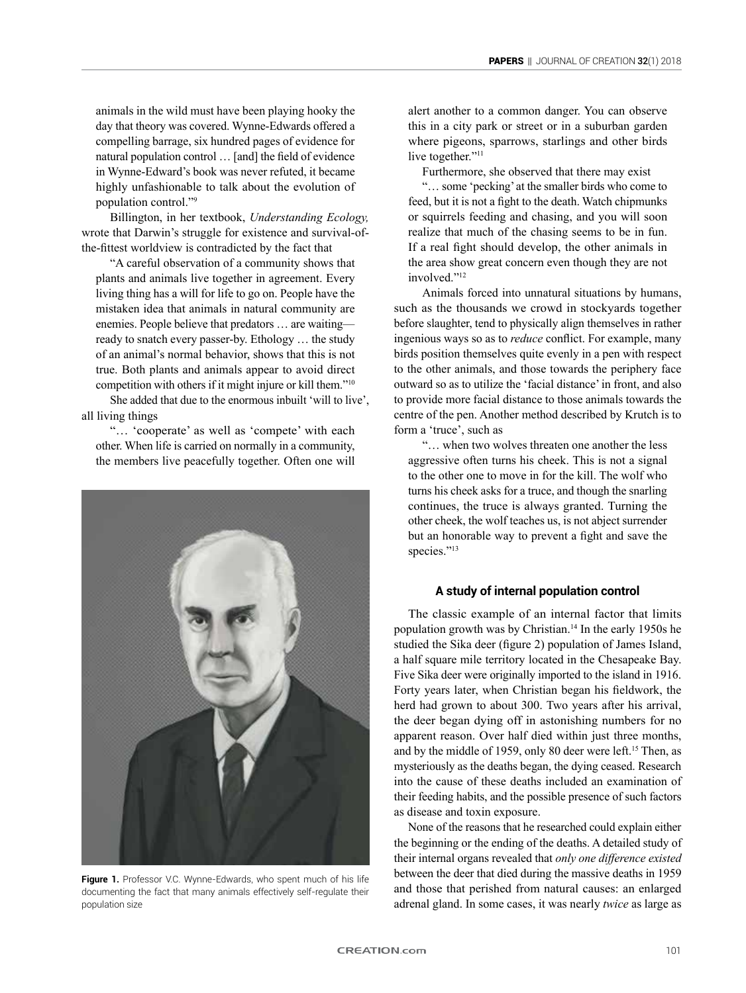animals in the wild must have been playing hooky the day that theory was covered. Wynne-Edwards offered a compelling barrage, six hundred pages of evidence for natural population control … [and] the field of evidence in Wynne-Edward's book was never refuted, it became highly unfashionable to talk about the evolution of population control."<sup>9</sup>

Billington, in her textbook, *Understanding Ecology,* wrote that Darwin's struggle for existence and survival-ofthe-fittest worldview is contradicted by the fact that

"A careful observation of a community shows that plants and animals live together in agreement. Every living thing has a will for life to go on. People have the mistaken idea that animals in natural community are enemies. People believe that predators … are waiting ready to snatch every passer-by. Ethology … the study of an animal's normal behavior, shows that this is not true. Both plants and animals appear to avoid direct competition with others if it might injure or kill them."<sup>10</sup>

She added that due to the enormous inbuilt 'will to live', all living things

"… 'cooperate' as well as 'compete' with each other. When life is carried on normally in a community, the members live peacefully together. Often one will



**Figure 1.** Professor V.C. Wynne-Edwards, who spent much of his life documenting the fact that many animals effectively self-regulate their population size

alert another to a common danger. You can observe this in a city park or street or in a suburban garden where pigeons, sparrows, starlings and other birds live together."<sup>11</sup>

Furthermore, she observed that there may exist

"… some 'pecking' at the smaller birds who come to feed, but it is not a fight to the death. Watch chipmunks or squirrels feeding and chasing, and you will soon realize that much of the chasing seems to be in fun. If a real fight should develop, the other animals in the area show great concern even though they are not involved."<sup>12</sup>

Animals forced into unnatural situations by humans, such as the thousands we crowd in stockyards together before slaughter, tend to physically align themselves in rather ingenious ways so as to *reduce* conflict. For example, many birds position themselves quite evenly in a pen with respect to the other animals, and those towards the periphery face outward so as to utilize the 'facial distance' in front, and also to provide more facial distance to those animals towards the centre of the pen. Another method described by Krutch is to form a 'truce', such as

"… when two wolves threaten one another the less aggressive often turns his cheek. This is not a signal to the other one to move in for the kill. The wolf who turns his cheek asks for a truce, and though the snarling continues, the truce is always granted. Turning the other cheek, the wolf teaches us, is not abject surrender but an honorable way to prevent a fight and save the species."<sup>13</sup>

### **A study of internal population control**

The classic example of an internal factor that limits population growth was by Christian.14 In the early 1950s he studied the Sika deer (figure 2) population of James Island, a half square mile territory located in the Chesapeake Bay. Five Sika deer were originally imported to the island in 1916. Forty years later, when Christian began his fieldwork, the herd had grown to about 300. Two years after his arrival, the deer began dying off in astonishing numbers for no apparent reason. Over half died within just three months, and by the middle of 1959, only 80 deer were left.<sup>15</sup> Then, as mysteriously as the deaths began, the dying ceased. Research into the cause of these deaths included an examination of their feeding habits, and the possible presence of such factors as disease and toxin exposure.

None of the reasons that he researched could explain either the beginning or the ending of the deaths. A detailed study of their internal organs revealed that *only one difference existed*  between the deer that died during the massive deaths in 1959 and those that perished from natural causes: an enlarged adrenal gland. In some cases, it was nearly *twice* as large as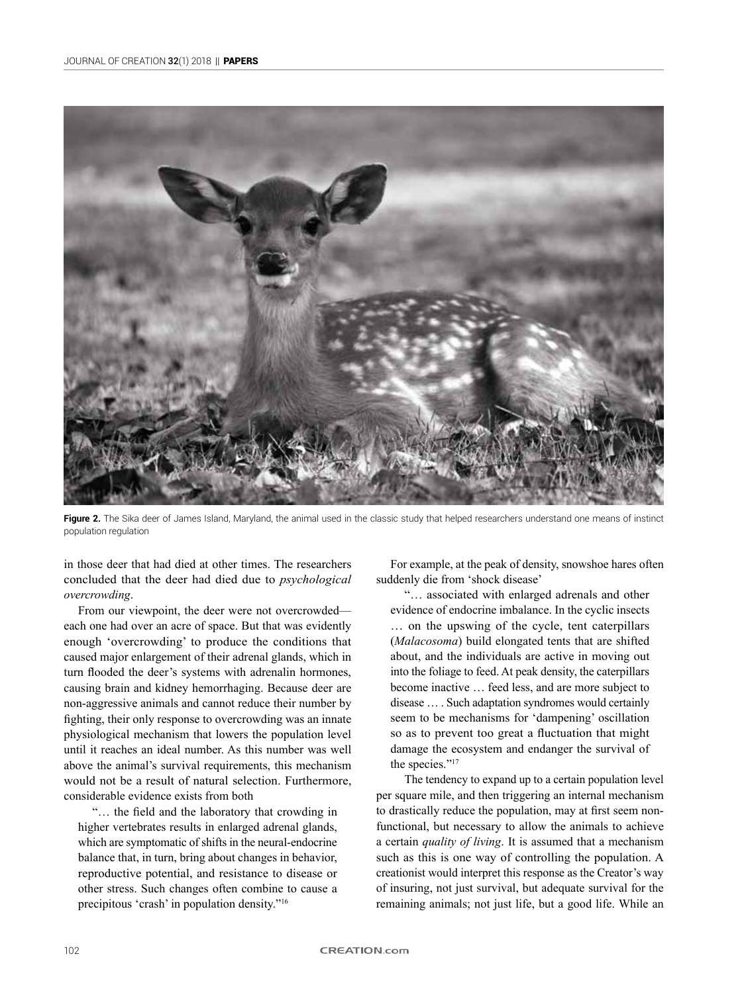

Figure 2. The Sika deer of James Island, Maryland, the animal used in the classic study that helped researchers understand one means of instinct population regulation

in those deer that had died at other times. The researchers concluded that the deer had died due to *psychological overcrowding*.

From our viewpoint, the deer were not overcrowded each one had over an acre of space. But that was evidently enough 'overcrowding' to produce the conditions that caused major enlargement of their adrenal glands, which in turn flooded the deer's systems with adrenalin hormones, causing brain and kidney hemorrhaging. Because deer are non-aggressive animals and cannot reduce their number by fighting, their only response to overcrowding was an innate physiological mechanism that lowers the population level until it reaches an ideal number. As this number was well above the animal's survival requirements, this mechanism would not be a result of natural selection. Furthermore, considerable evidence exists from both

"… the field and the laboratory that crowding in higher vertebrates results in enlarged adrenal glands, which are symptomatic of shifts in the neural-endocrine balance that, in turn, bring about changes in behavior, reproductive potential, and resistance to disease or other stress. Such changes often combine to cause a precipitous 'crash' in population density."<sup>16</sup>

For example, at the peak of density, snowshoe hares often suddenly die from 'shock disease'

"… associated with enlarged adrenals and other evidence of endocrine imbalance. In the cyclic insects … on the upswing of the cycle, tent caterpillars (*Malacosoma*) build elongated tents that are shifted about, and the individuals are active in moving out into the foliage to feed. At peak density, the caterpillars become inactive … feed less, and are more subject to disease … . Such adaptation syndromes would certainly seem to be mechanisms for 'dampening' oscillation so as to prevent too great a fluctuation that might damage the ecosystem and endanger the survival of the species."<sup>17</sup>

The tendency to expand up to a certain population level per square mile, and then triggering an internal mechanism to drastically reduce the population, may at first seem nonfunctional, but necessary to allow the animals to achieve a certain *quality of living*. It is assumed that a mechanism such as this is one way of controlling the population. A creationist would interpret this response as the Creator's way of insuring, not just survival, but adequate survival for the remaining animals; not just life, but a good life. While an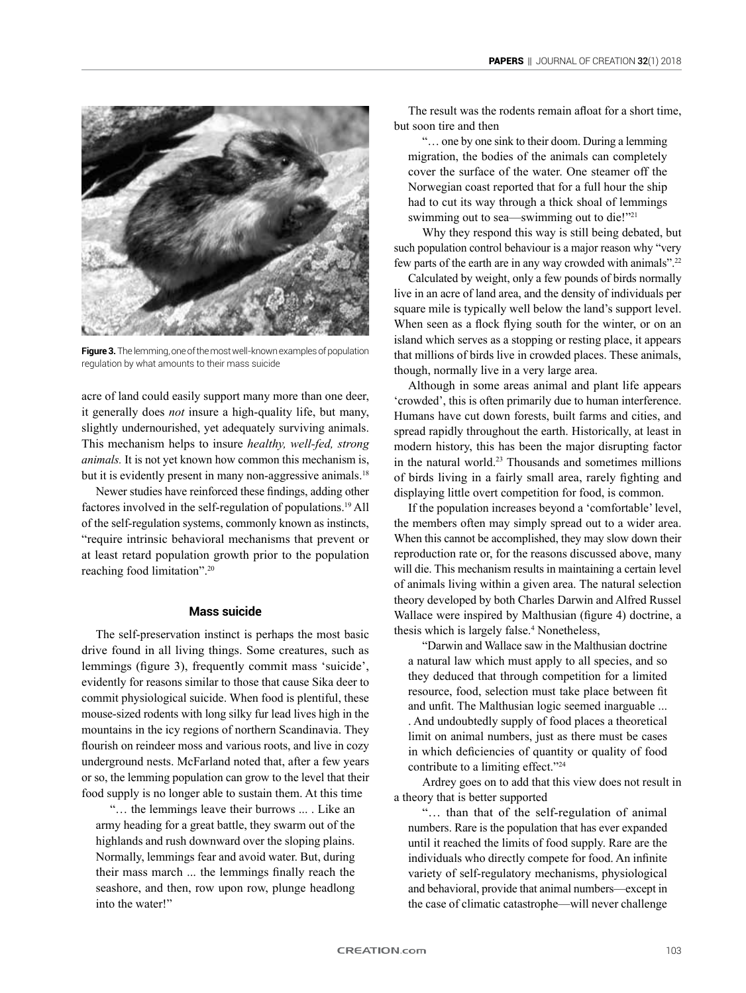

**Figure 3.** The lemming, one of the most well-known examples of population regulation by what amounts to their mass suicide

acre of land could easily support many more than one deer, it generally does *not* insure a high-quality life, but many, slightly undernourished, yet adequately surviving animals. This mechanism helps to insure *healthy, well-fed, strong animals.* It is not yet known how common this mechanism is, but it is evidently present in many non-aggressive animals.<sup>18</sup>

Newer studies have reinforced these findings, adding other factores involved in the self-regulation of populations.<sup>19</sup> All of the self-regulation systems, commonly known as instincts, "require intrinsic behavioral mechanisms that prevent or at least retard population growth prior to the population reaching food limitation".<sup>20</sup>

#### **Mass suicide**

The self-preservation instinct is perhaps the most basic drive found in all living things. Some creatures, such as lemmings (figure 3), frequently commit mass 'suicide', evidently for reasons similar to those that cause Sika deer to commit physiological suicide. When food is plentiful, these mouse-sized rodents with long silky fur lead lives high in the mountains in the icy regions of northern Scandinavia. They flourish on reindeer moss and various roots, and live in cozy underground nests. McFarland noted that, after a few years or so, the lemming population can grow to the level that their food supply is no longer able to sustain them. At this time

"… the lemmings leave their burrows ... . Like an army heading for a great battle, they swarm out of the highlands and rush downward over the sloping plains. Normally, lemmings fear and avoid water. But, during their mass march ... the lemmings finally reach the seashore, and then, row upon row, plunge headlong into the water!"

The result was the rodents remain afloat for a short time, but soon tire and then

"… one by one sink to their doom. During a lemming migration, the bodies of the animals can completely cover the surface of the water. One steamer off the Norwegian coast reported that for a full hour the ship had to cut its way through a thick shoal of lemmings swimming out to sea—swimming out to die!"<sup>21</sup>

Why they respond this way is still being debated, but such population control behaviour is a major reason why "very few parts of the earth are in any way crowded with animals".<sup>22</sup>

Calculated by weight, only a few pounds of birds normally live in an acre of land area, and the density of individuals per square mile is typically well below the land's support level. When seen as a flock flying south for the winter, or on an island which serves as a stopping or resting place, it appears that millions of birds live in crowded places. These animals, though, normally live in a very large area.

Although in some areas animal and plant life appears 'crowded', this is often primarily due to human interference. Humans have cut down forests, built farms and cities, and spread rapidly throughout the earth. Historically, at least in modern history, this has been the major disrupting factor in the natural world.<sup>23</sup> Thousands and sometimes millions of birds living in a fairly small area, rarely fighting and displaying little overt competition for food, is common.

If the population increases beyond a 'comfortable' level, the members often may simply spread out to a wider area. When this cannot be accomplished, they may slow down their reproduction rate or, for the reasons discussed above, many will die. This mechanism results in maintaining a certain level of animals living within a given area. The natural selection theory developed by both Charles Darwin and Alfred Russel Wallace were inspired by Malthusian (figure 4) doctrine, a thesis which is largely false.<sup>4</sup> Nonetheless,

"Darwin and Wallace saw in the Malthusian doctrine a natural law which must apply to all species, and so they deduced that through competition for a limited resource, food, selection must take place between fit and unfit. The Malthusian logic seemed inarguable ... . And undoubtedly supply of food places a theoretical limit on animal numbers, just as there must be cases in which deficiencies of quantity or quality of food contribute to a limiting effect."<sup>24</sup>

Ardrey goes on to add that this view does not result in a theory that is better supported

"… than that of the self-regulation of animal numbers. Rare is the population that has ever expanded until it reached the limits of food supply. Rare are the individuals who directly compete for food. An infinite variety of self-regulatory mechanisms, physiological and behavioral, provide that animal numbers—except in the case of climatic catastrophe—will never challenge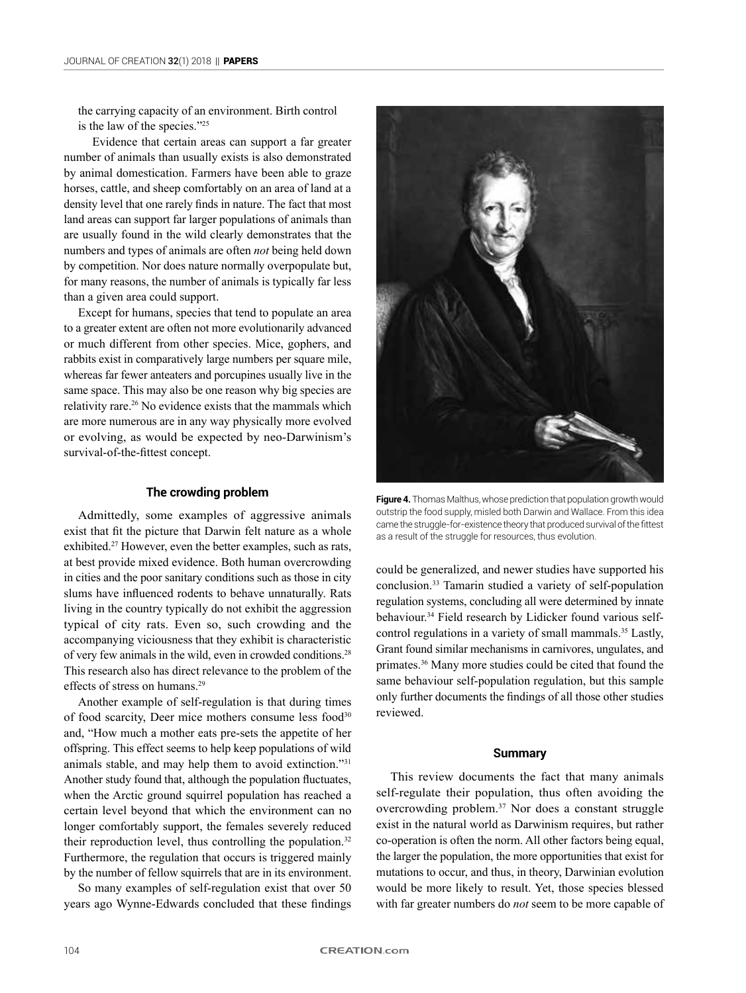the carrying capacity of an environment. Birth control is the law of the species."<sup>25</sup>

Evidence that certain areas can support a far greater number of animals than usually exists is also demonstrated by animal domestication. Farmers have been able to graze horses, cattle, and sheep comfortably on an area of land at a density level that one rarely finds in nature. The fact that most land areas can support far larger populations of animals than are usually found in the wild clearly demonstrates that the numbers and types of animals are often *not* being held down by competition. Nor does nature normally overpopulate but, for many reasons, the number of animals is typically far less than a given area could support.

Except for humans, species that tend to populate an area to a greater extent are often not more evolutionarily advanced or much different from other species. Mice, gophers, and rabbits exist in comparatively large numbers per square mile, whereas far fewer anteaters and porcupines usually live in the same space. This may also be one reason why big species are relativity rare.<sup>26</sup> No evidence exists that the mammals which are more numerous are in any way physically more evolved or evolving, as would be expected by neo-Darwinism's survival-of-the-fittest concept.

#### **The crowding problem**

Admittedly, some examples of aggressive animals exist that fit the picture that Darwin felt nature as a whole exhibited.<sup>27</sup> However, even the better examples, such as rats, at best provide mixed evidence. Both human overcrowding in cities and the poor sanitary conditions such as those in city slums have influenced rodents to behave unnaturally. Rats living in the country typically do not exhibit the aggression typical of city rats. Even so, such crowding and the accompanying viciousness that they exhibit is characteristic of very few animals in the wild, even in crowded conditions.<sup>28</sup> This research also has direct relevance to the problem of the effects of stress on humans.<sup>29</sup>

Another example of self-regulation is that during times of food scarcity, Deer mice mothers consume less food<sup>30</sup> and, "How much a mother eats pre-sets the appetite of her offspring. This effect seems to help keep populations of wild animals stable, and may help them to avoid extinction."<sup>31</sup> Another study found that, although the population fluctuates, when the Arctic ground squirrel population has reached a certain level beyond that which the environment can no longer comfortably support, the females severely reduced their reproduction level, thus controlling the population.<sup>32</sup> Furthermore, the regulation that occurs is triggered mainly by the number of fellow squirrels that are in its environment.

So many examples of self-regulation exist that over 50 years ago Wynne-Edwards concluded that these findings



**Figure 4.** Thomas Malthus, whose prediction that population growth would outstrip the food supply, misled both Darwin and Wallace. From this idea came the struggle-for-existence theory that produced survival of the fittest as a result of the struggle for resources, thus evolution.

could be generalized, and newer studies have supported his conclusion.<sup>33</sup> Tamarin studied a variety of self-population regulation systems, concluding all were determined by innate behaviour.34 Field research by Lidicker found various selfcontrol regulations in a variety of small mammals.<sup>35</sup> Lastly, Grant found similar mechanisms in carnivores, ungulates, and primates.36 Many more studies could be cited that found the same behaviour self-population regulation, but this sample only further documents the findings of all those other studies reviewed.

#### **Summary**

This review documents the fact that many animals self-regulate their population, thus often avoiding the overcrowding problem.37 Nor does a constant struggle exist in the natural world as Darwinism requires, but rather co-operation is often the norm. All other factors being equal, the larger the population, the more opportunities that exist for mutations to occur, and thus, in theory, Darwinian evolution would be more likely to result. Yet, those species blessed with far greater numbers do *not* seem to be more capable of